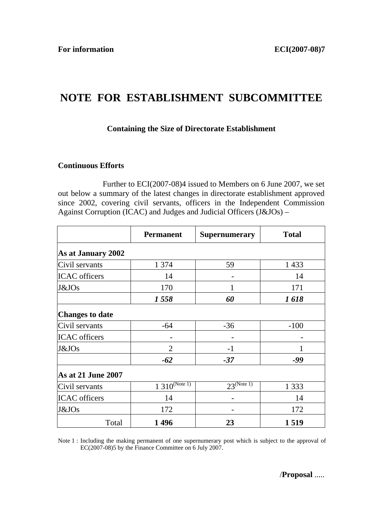## **NOTE FOR ESTABLISHMENT SUBCOMMITTEE**

## **Containing the Size of Directorate Establishment**

## **Continuous Efforts**

 Further to ECI(2007-08)4 issued to Members on 6 June 2007, we set out below a summary of the latest changes in directorate establishment approved since 2002, covering civil servants, officers in the Independent Commission Against Corruption (ICAC) and Judges and Judicial Officers (J&JOs) –

|                           | <b>Permanent</b>  | <b>Supernumerary</b> | <b>Total</b> |  |
|---------------------------|-------------------|----------------------|--------------|--|
| As at January 2002        |                   |                      |              |  |
| Civil servants            | 1 3 7 4           | 59                   | 1 4 3 3      |  |
| <b>ICAC</b> officers      | 14                |                      | 14           |  |
| J&JOs                     | 170               | 1                    | 171          |  |
|                           | 1558              | 60                   | 1618         |  |
| <b>Changes to date</b>    |                   |                      |              |  |
| Civil servants            | -64               | $-36$                | $-100$       |  |
| <b>ICAC</b> officers      |                   |                      |              |  |
| J&JO <sub>S</sub>         | $\overline{2}$    | $-1$                 |              |  |
|                           | $-62$             | $-37$                | -99          |  |
| <b>As at 21 June 2007</b> |                   |                      |              |  |
| Civil servants            | $1310^{(Note 1)}$ | $23^{(Note 1)}$      | 1 3 3 3      |  |
| <b>ICAC</b> officers      | 14                |                      | 14           |  |
| J&JOs                     | 172               |                      | 172          |  |
| Total                     | 1496              | 23                   | 1519         |  |

Note 1 : Including the making permanent of one supernumerary post which is subject to the approval of EC(2007-08)5 by the Finance Committee on 6 July 2007.

/**Proposal** .....